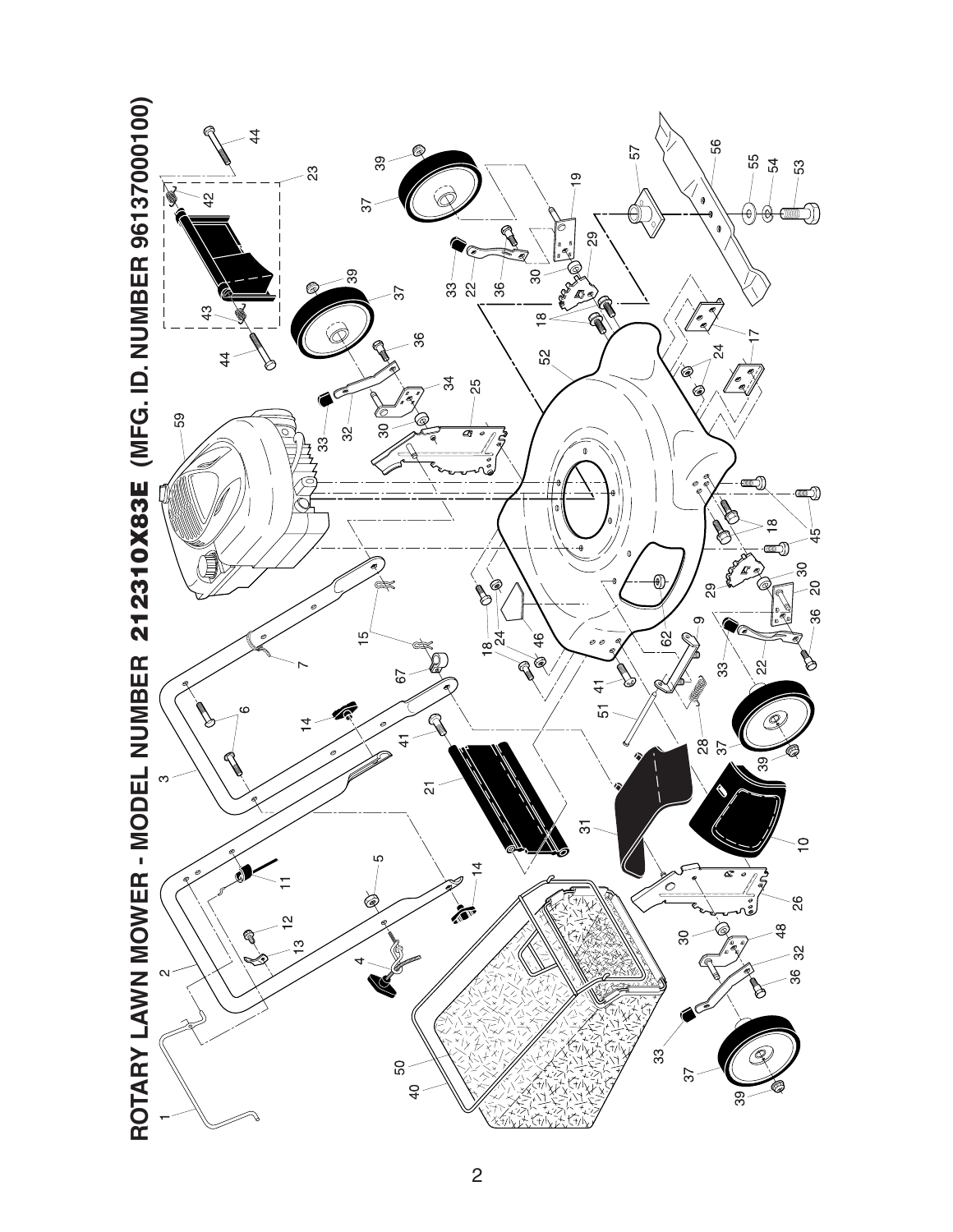